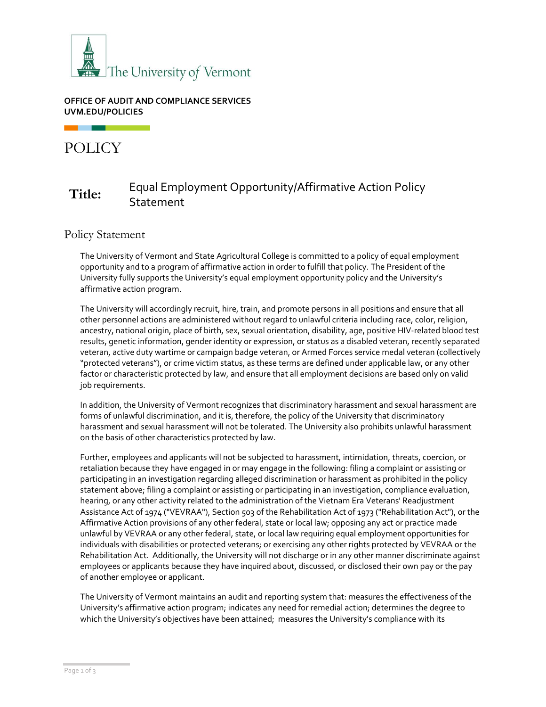

#### **OFFICE OF AUDIT AND COMPLIANCE SERVICES UVM.EDU/POLICIES**

POLICY

# **Title:** Equal Employment Opportunity/Affirmative Action Policy **Statement**

Policy Statement

The University of Vermont and State Agricultural College is committed to a policy of equal employment opportunity and to a program of affirmative action in order to fulfill that policy. The President of the University fully supports the University's equal employment opportunity policy and the University's affirmative action program.

The University will accordingly recruit, hire, train, and promote persons in all positions and ensure that all other personnel actions are administered without regard to unlawful criteria including race, color, religion, ancestry, national origin, place of birth, sex, sexual orientation, disability, age, positive HIV-related blood test results, genetic information, gender identity or expression, or status as a disabled veteran, recently separated veteran, active duty wartime or campaign badge veteran, or Armed Forces service medal veteran (collectively "protected veterans"), or crime victim status, as these terms are defined under applicable law, or any other factor or characteristic protected by law, and ensure that all employment decisions are based only on valid job requirements.

In addition, the University of Vermont recognizes that discriminatory harassment and sexual harassment are forms of unlawful discrimination, and it is, therefore, the policy of the University that discriminatory harassment and sexual harassment will not be tolerated. The University also prohibits unlawful harassment on the basis of other characteristics protected by law.

Further, employees and applicants will not be subjected to harassment, intimidation, threats, coercion, or retaliation because they have engaged in or may engage in the following: filing a complaint or assisting or participating in an investigation regarding alleged discrimination or harassment as prohibited in the policy statement above; filing a complaint or assisting or participating in an investigation, compliance evaluation, hearing, or any other activity related to the administration of the Vietnam Era Veterans' Readjustment Assistance Act of 1974 ("VEVRAA"), Section 503 of the Rehabilitation Act of 1973 ("Rehabilitation Act"), or the Affirmative Action provisions of any other federal, state or local law; opposing any act or practice made unlawful by VEVRAA or any other federal, state, or local law requiring equal employment opportunities for individuals with disabilities or protected veterans; or exercising any other rights protected by VEVRAA or the Rehabilitation Act. Additionally, the University will not discharge or in any other manner discriminate against employees or applicants because they have inquired about, discussed, or disclosed their own pay or the pay of another employee or applicant.

The University of Vermont maintains an audit and reporting system that: measures the effectiveness of the University's affirmative action program; indicates any need for remedial action; determines the degree to which the University's objectives have been attained; measures the University's compliance with its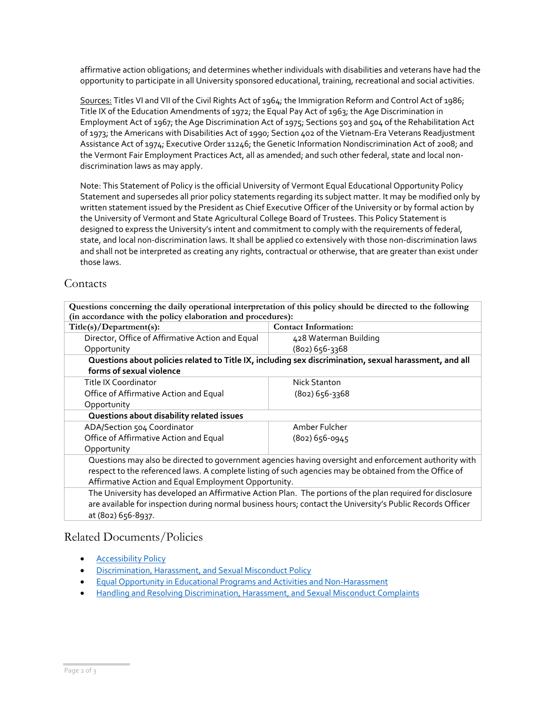affirmative action obligations; and determines whether individuals with disabilities and veterans have had the opportunity to participate in all University sponsored educational, training, recreational and social activities.

Sources: Titles VI and VII of the Civil Rights Act of 1964; the Immigration Reform and Control Act of 1986; Title IX of the Education Amendments of 1972; the Equal Pay Act of 1963; the Age Discrimination in Employment Act of 1967; the Age Discrimination Act of 1975; Sections 503 and 504 of the Rehabilitation Act of 1973; the Americans with Disabilities Act of 1990; Section 402 of the Vietnam-Era Veterans Readjustment Assistance Act of 1974; Executive Order 11246; the Genetic Information Nondiscrimination Act of 2008; and the Vermont Fair Employment Practices Act, all as amended; and such other federal, state and local nondiscrimination laws as may apply.

Note: This Statement of Policy is the official University of Vermont Equal Educational Opportunity Policy Statement and supersedes all prior policy statements regarding its subject matter. It may be modified only by written statement issued by the President as Chief Executive Officer of the University or by formal action by the University of Vermont and State Agricultural College Board of Trustees. This Policy Statement is designed to express the University's intent and commitment to comply with the requirements of federal, state, and local non-discrimination laws. It shall be applied co extensively with those non-discrimination laws and shall not be interpreted as creating any rights, contractual or otherwise, that are greater than exist under those laws.

### **Contacts**

| Questions concerning the daily operational interpretation of this policy should be directed to the following |                               |  |  |
|--------------------------------------------------------------------------------------------------------------|-------------------------------|--|--|
| (in accordance with the policy elaboration and procedures):                                                  |                               |  |  |
| $\text{Tifla(c)}$ (Department(e):                                                                            | $\Gamma$ Contact Information: |  |  |

| Title(s)/Department(s):                                                                                    | <b>Contact Information:</b> |  |  |  |
|------------------------------------------------------------------------------------------------------------|-----------------------------|--|--|--|
| Director, Office of Affirmative Action and Equal                                                           | 428 Waterman Building       |  |  |  |
| Opportunity                                                                                                | $(802) 656 - 3368$          |  |  |  |
| Questions about policies related to Title IX, including sex discrimination, sexual harassment, and all     |                             |  |  |  |
| forms of sexual violence                                                                                   |                             |  |  |  |
| Title IX Coordinator                                                                                       | Nick Stanton                |  |  |  |
| Office of Affirmative Action and Equal                                                                     | $(802)$ 656-3368            |  |  |  |
| Opportunity                                                                                                |                             |  |  |  |
| Questions about disability related issues                                                                  |                             |  |  |  |
| ADA/Section 504 Coordinator                                                                                | Amber Fulcher               |  |  |  |
| Office of Affirmative Action and Equal                                                                     | (802) 656-0945              |  |  |  |
| Opportunity                                                                                                |                             |  |  |  |
| Questions may also be directed to government agencies having oversight and enforcement authority with      |                             |  |  |  |
| respect to the referenced laws. A complete listing of such agencies may be obtained from the Office of     |                             |  |  |  |
| Affirmative Action and Equal Employment Opportunity.                                                       |                             |  |  |  |
| The University has developed an Affirmative Action Plan. The portions of the plan required for disclosure  |                             |  |  |  |
| are available for inspection during normal business hours; contact the University's Public Records Officer |                             |  |  |  |
| at (802) 656-8937.                                                                                         |                             |  |  |  |

#### Related Documents/Policies

- **[Accessibility Policy](https://www.uvm.edu/sites/default/files/UVM-Policies/policies/accessibility.pdf)**
- [Discrimination, Harassment, and Sexual Misconduct Policy](https://www.uvm.edu/sites/default/files/UVM-Policies/policies/sexharass.pdf)
- [Equal Opportunity in Educational Programs and Activities and Non-Harassment](https://www.uvm.edu/sites/default/files/UVM-Policies/policies/equaledu.pdf)
- [Handling and Resolving Discrimination, Harassment, and Sexual Misconduct Complaints](https://www.uvm.edu/sites/default/files/UVM-Policies/policies/discrimcomplaints.pdf)